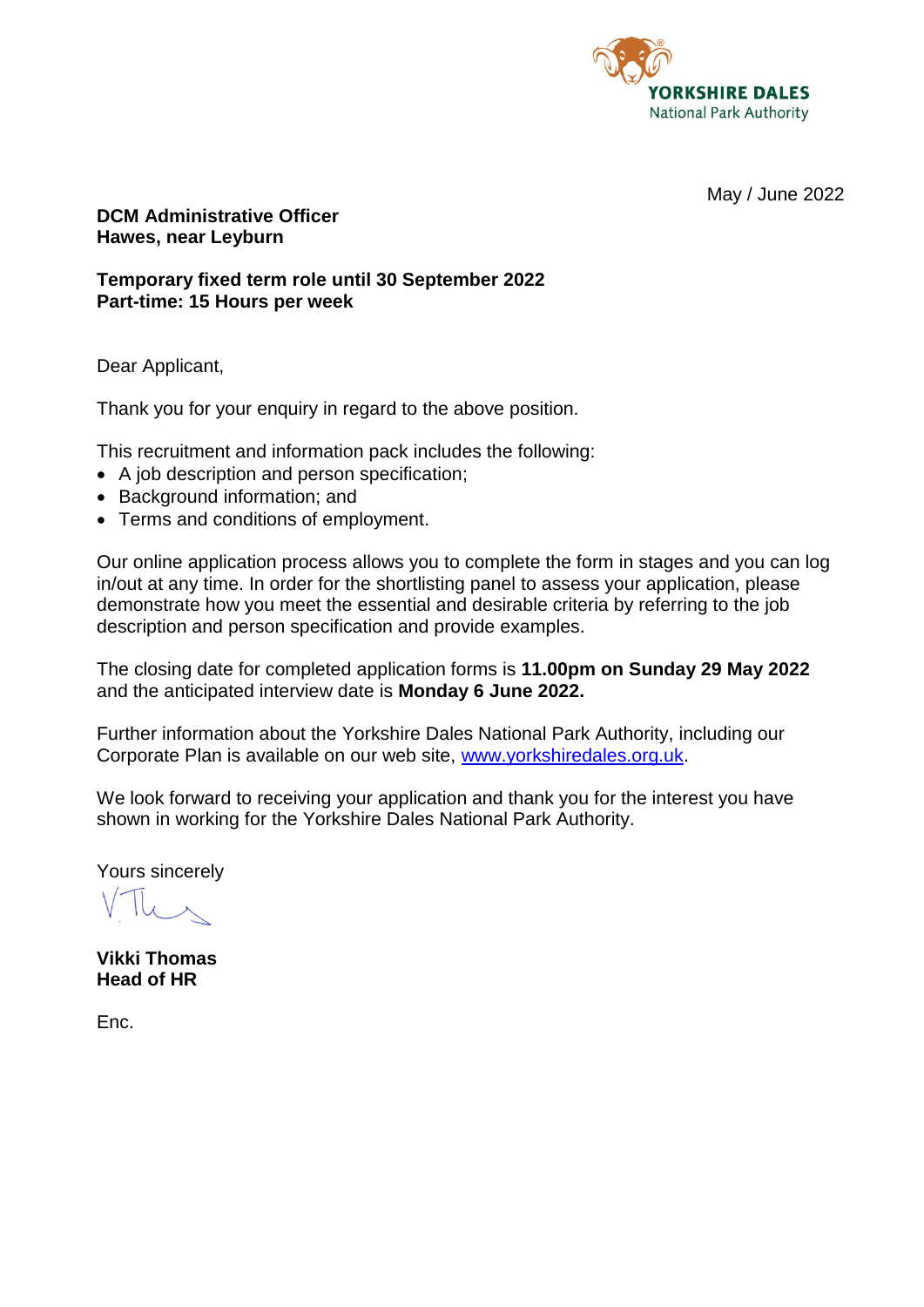

May / June 2022

**DCM Administrative Officer Hawes, near Leyburn**

**Temporary fixed term role until 30 September 2022 Part-time: 15 Hours per week** 

Dear Applicant,

Thank you for your enquiry in regard to the above position.

This recruitment and information pack includes the following:

- A job description and person specification;
- Background information; and
- Terms and conditions of employment.

Our online application process allows you to complete the form in stages and you can log in/out at any time. In order for the shortlisting panel to assess your application, please demonstrate how you meet the essential and desirable criteria by referring to the job description and person specification and provide examples.

The closing date for completed application forms is **11.00pm on Sunday 29 May 2022** and the anticipated interview date is **Monday 6 June 2022.**

Further information about the Yorkshire Dales National Park Authority, including our Corporate Plan is available on our web site, [www.yorkshiredales.org.uk.](http://www.yorkshiredales.org.uk/)

We look forward to receiving your application and thank you for the interest you have shown in working for the Yorkshire Dales National Park Authority.

Yours sincerely

**Vikki Thomas Head of HR**

Enc.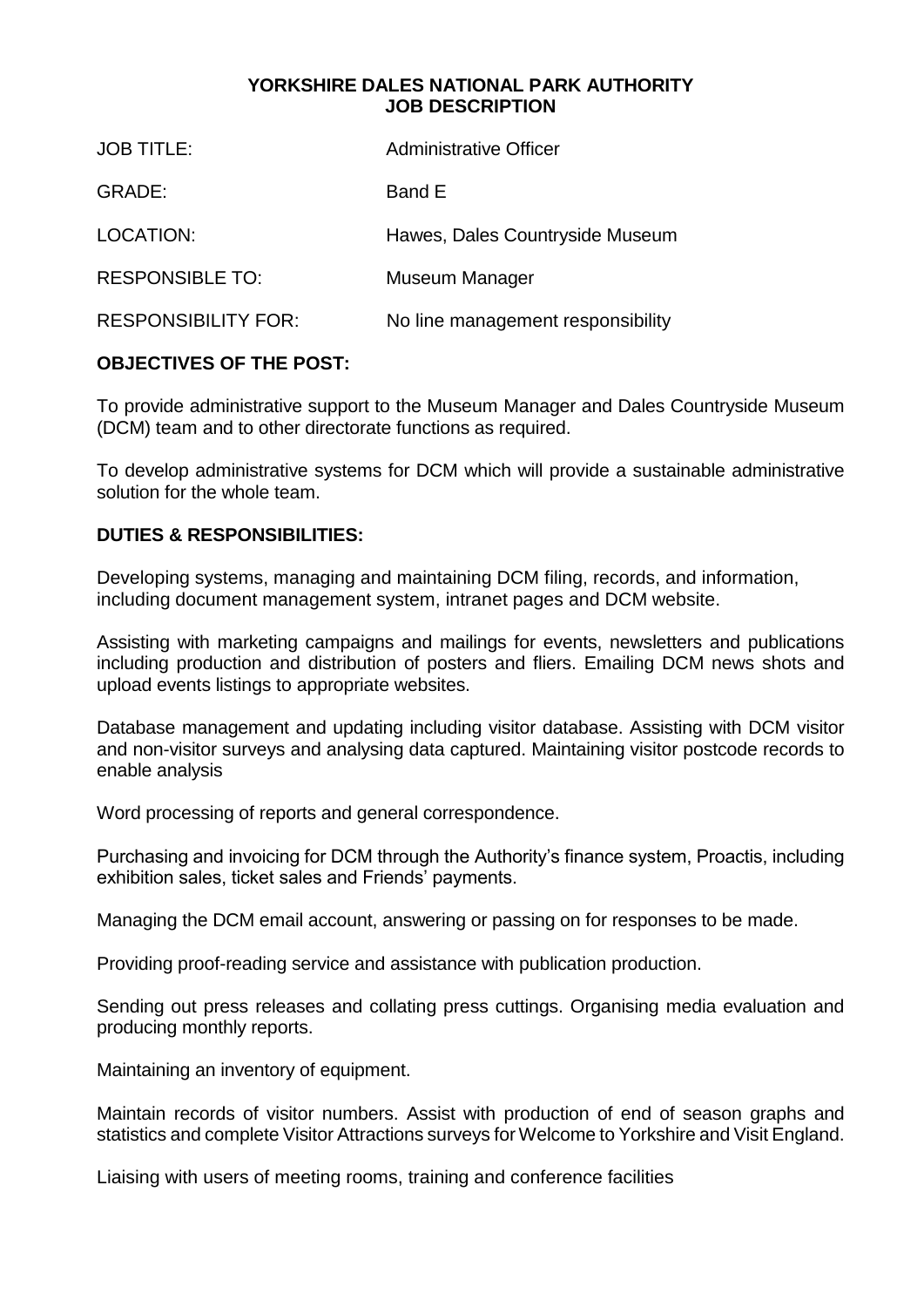#### **YORKSHIRE DALES NATIONAL PARK AUTHORITY JOB DESCRIPTION**

| <b>JOB TITLE:</b>          | <b>Administrative Officer</b>     |
|----------------------------|-----------------------------------|
| GRADE:                     | Band E                            |
| LOCATION:                  | Hawes, Dales Countryside Museum   |
| <b>RESPONSIBLE TO:</b>     | Museum Manager                    |
| <b>RESPONSIBILITY FOR:</b> | No line management responsibility |

# **OBJECTIVES OF THE POST:**

To provide administrative support to the Museum Manager and Dales Countryside Museum (DCM) team and to other directorate functions as required.

To develop administrative systems for DCM which will provide a sustainable administrative solution for the whole team.

# **DUTIES & RESPONSIBILITIES:**

Developing systems, managing and maintaining DCM filing, records, and information, including document management system, intranet pages and DCM website.

Assisting with marketing campaigns and mailings for events, newsletters and publications including production and distribution of posters and fliers. Emailing DCM news shots and upload events listings to appropriate websites.

Database management and updating including visitor database. Assisting with DCM visitor and non-visitor surveys and analysing data captured. Maintaining visitor postcode records to enable analysis

Word processing of reports and general correspondence.

Purchasing and invoicing for DCM through the Authority's finance system, Proactis, including exhibition sales, ticket sales and Friends' payments.

Managing the DCM email account, answering or passing on for responses to be made.

Providing proof-reading service and assistance with publication production.

Sending out press releases and collating press cuttings. Organising media evaluation and producing monthly reports.

Maintaining an inventory of equipment.

Maintain records of visitor numbers. Assist with production of end of season graphs and statistics and complete Visitor Attractions surveys for Welcome to Yorkshire and Visit England.

Liaising with users of meeting rooms, training and conference facilities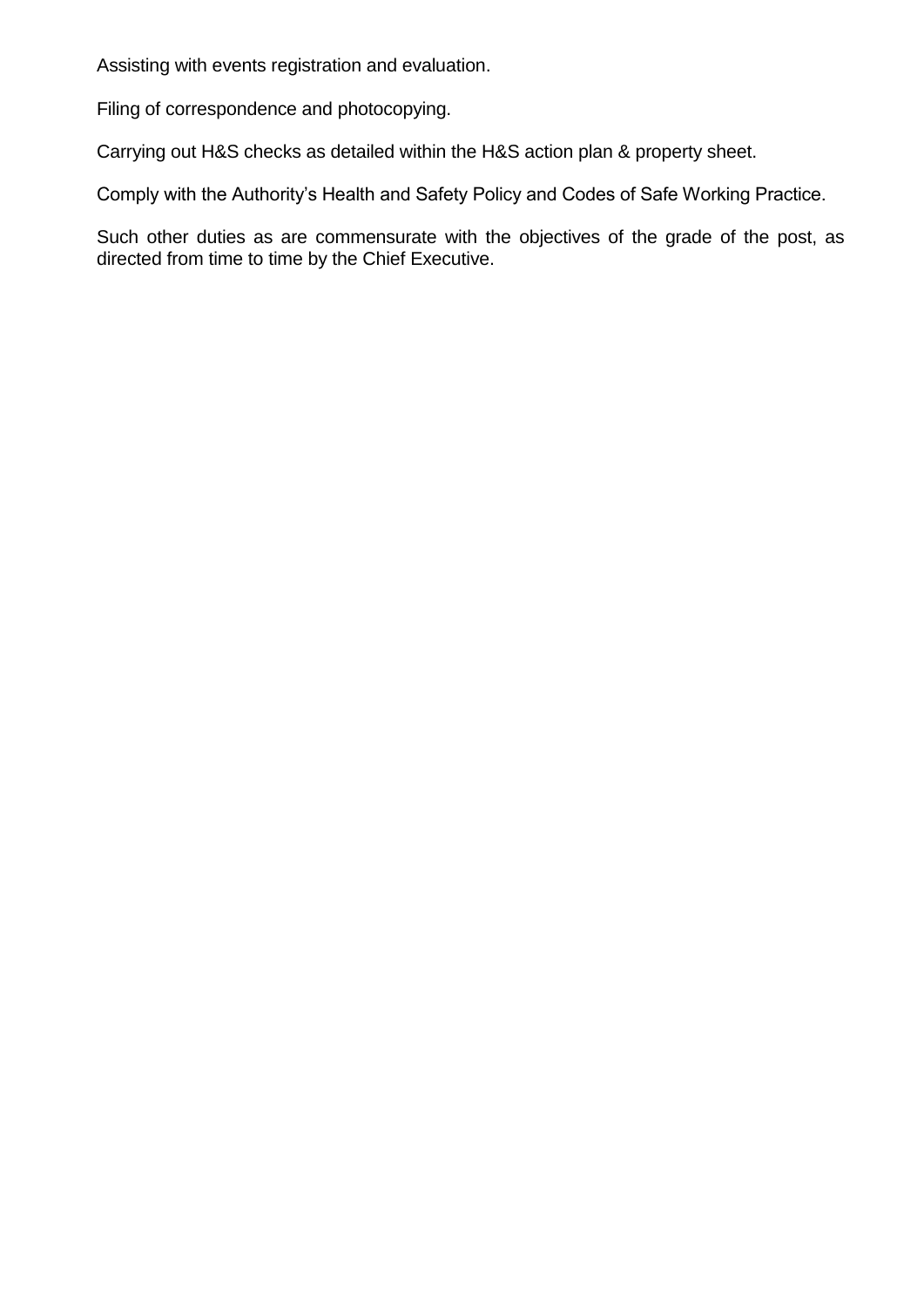Assisting with events registration and evaluation.

Filing of correspondence and photocopying.

Carrying out H&S checks as detailed within the H&S action plan & property sheet.

Comply with the Authority's Health and Safety Policy and Codes of Safe Working Practice.

Such other duties as are commensurate with the objectives of the grade of the post, as directed from time to time by the Chief Executive.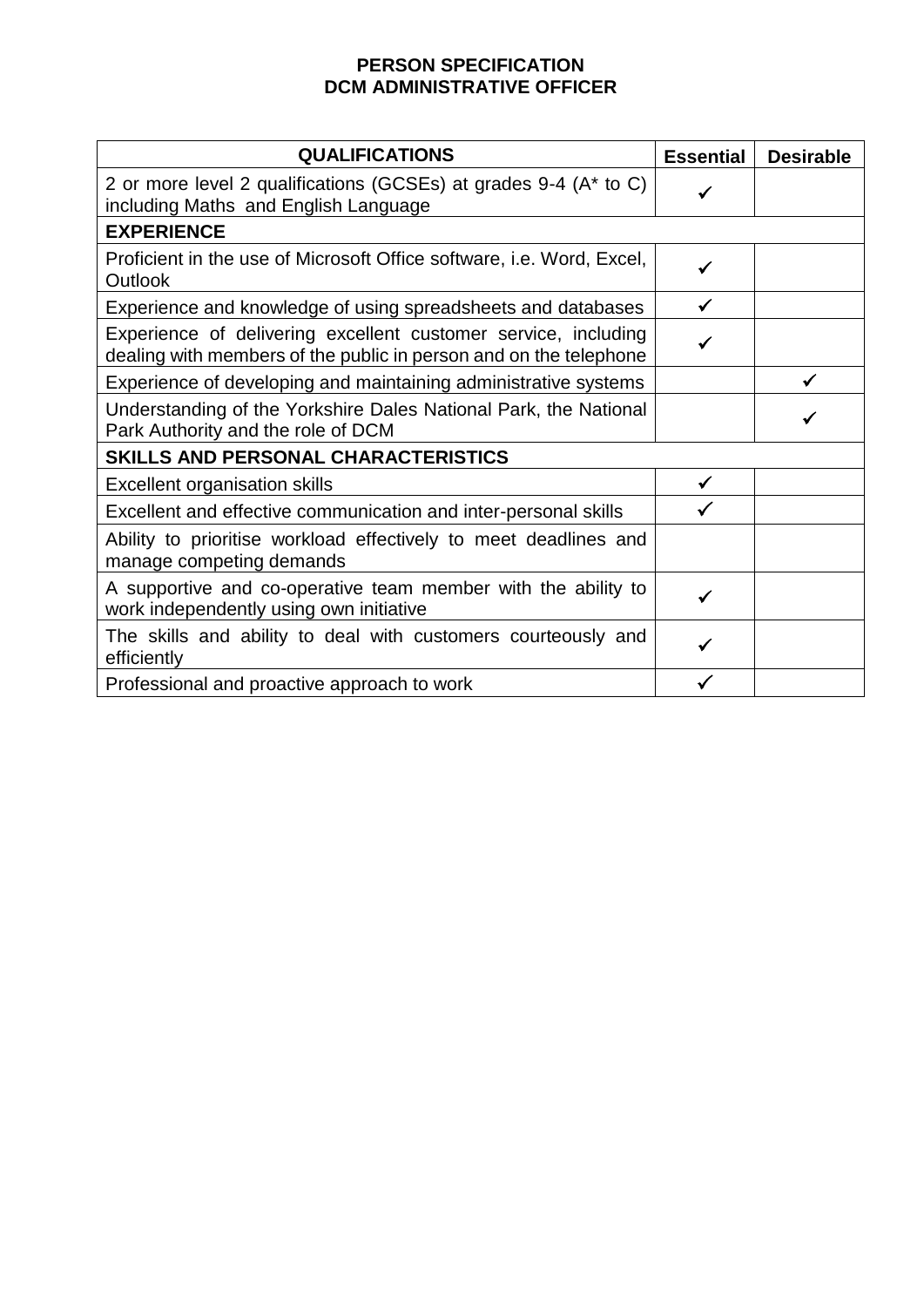# **PERSON SPECIFICATION DCM ADMINISTRATIVE OFFICER**

| <b>QUALIFICATIONS</b>                                                                                                               | <b>Essential</b> | <b>Desirable</b> |  |
|-------------------------------------------------------------------------------------------------------------------------------------|------------------|------------------|--|
| 2 or more level 2 qualifications (GCSEs) at grades 9-4 (A* to C)<br>including Maths and English Language                            |                  |                  |  |
| <b>EXPERIENCE</b>                                                                                                                   |                  |                  |  |
| Proficient in the use of Microsoft Office software, <i>i.e.</i> Word, Excel,<br>Outlook                                             |                  |                  |  |
| Experience and knowledge of using spreadsheets and databases                                                                        | $\checkmark$     |                  |  |
| Experience of delivering excellent customer service, including<br>dealing with members of the public in person and on the telephone |                  |                  |  |
| Experience of developing and maintaining administrative systems                                                                     |                  | ✓                |  |
| Understanding of the Yorkshire Dales National Park, the National<br>Park Authority and the role of DCM                              |                  |                  |  |
| <b>SKILLS AND PERSONAL CHARACTERISTICS</b>                                                                                          |                  |                  |  |
| <b>Excellent organisation skills</b>                                                                                                | ✓                |                  |  |
| Excellent and effective communication and inter-personal skills                                                                     |                  |                  |  |
| Ability to prioritise workload effectively to meet deadlines and<br>manage competing demands                                        |                  |                  |  |
| A supportive and co-operative team member with the ability to<br>work independently using own initiative                            | $\checkmark$     |                  |  |
| The skills and ability to deal with customers courteously and<br>efficiently                                                        |                  |                  |  |
| Professional and proactive approach to work                                                                                         |                  |                  |  |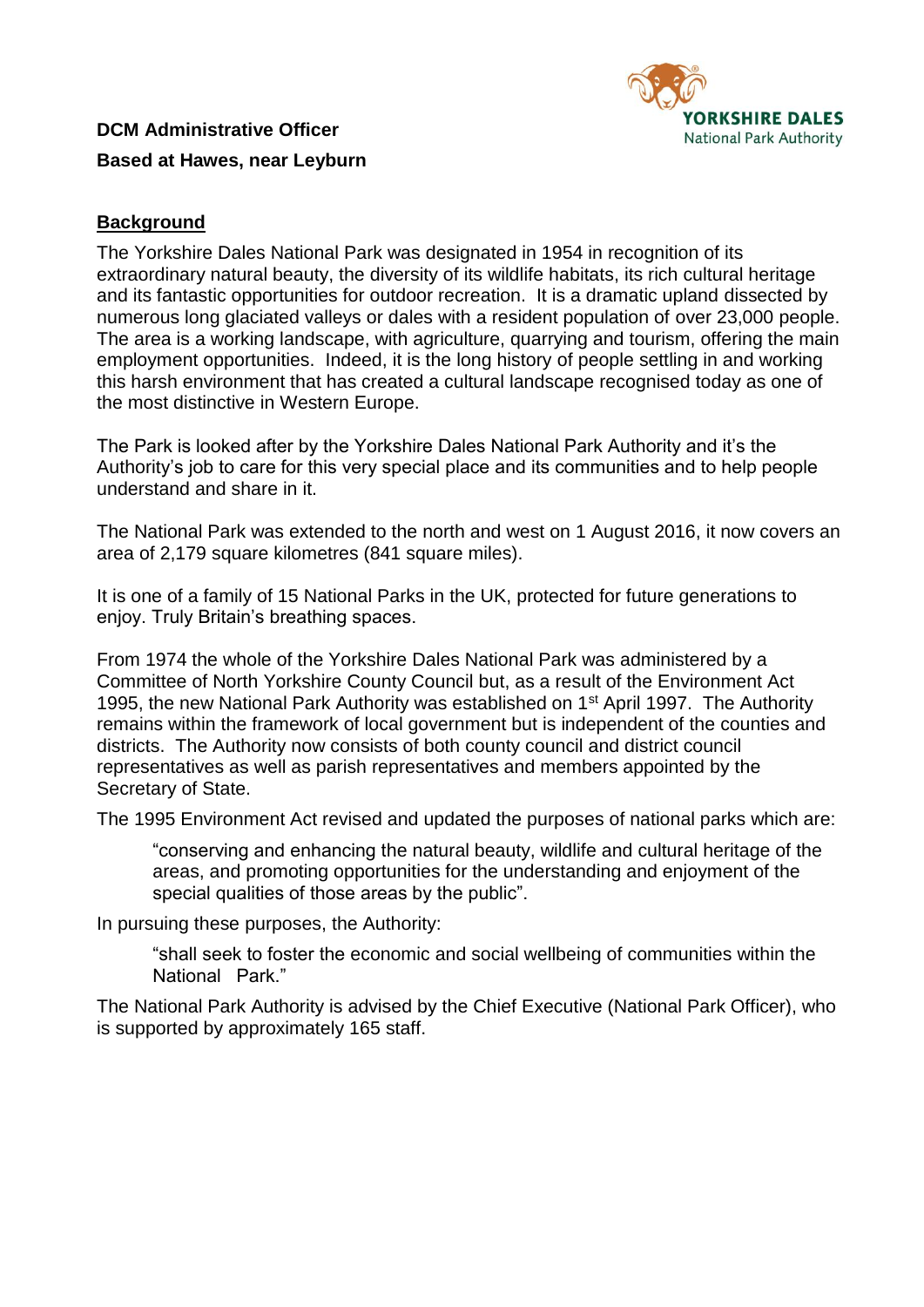

**DCM Administrative Officer Based at Hawes, near Leyburn**

# **Background**

The Yorkshire Dales National Park was designated in 1954 in recognition of its extraordinary natural beauty, the diversity of its wildlife habitats, its rich cultural heritage and its fantastic opportunities for outdoor recreation. It is a dramatic upland dissected by numerous long glaciated valleys or dales with a resident population of over 23,000 people. The area is a working landscape, with agriculture, quarrying and tourism, offering the main employment opportunities. Indeed, it is the long history of people settling in and working this harsh environment that has created a cultural landscape recognised today as one of the most distinctive in Western Europe.

The Park is looked after by the Yorkshire Dales National Park Authority and it's the Authority's job to care for this very special place and its communities and to help people understand and share in it.

The National Park was extended to the north and west on 1 August 2016, it now covers an area of 2,179 square kilometres (841 square miles).

It is one of a family of 15 National Parks in the UK, protected for future generations to enjoy. Truly Britain's breathing spaces.

From 1974 the whole of the Yorkshire Dales National Park was administered by a Committee of North Yorkshire County Council but, as a result of the Environment Act 1995, the new National Park Authority was established on 1<sup>st</sup> April 1997. The Authority remains within the framework of local government but is independent of the counties and districts. The Authority now consists of both county council and district council representatives as well as parish representatives and members appointed by the Secretary of State.

The 1995 Environment Act revised and updated the purposes of national parks which are:

"conserving and enhancing the natural beauty, wildlife and cultural heritage of the areas, and promoting opportunities for the understanding and enjoyment of the special qualities of those areas by the public".

In pursuing these purposes, the Authority:

"shall seek to foster the economic and social wellbeing of communities within the National Park."

The National Park Authority is advised by the Chief Executive (National Park Officer), who is supported by approximately 165 staff.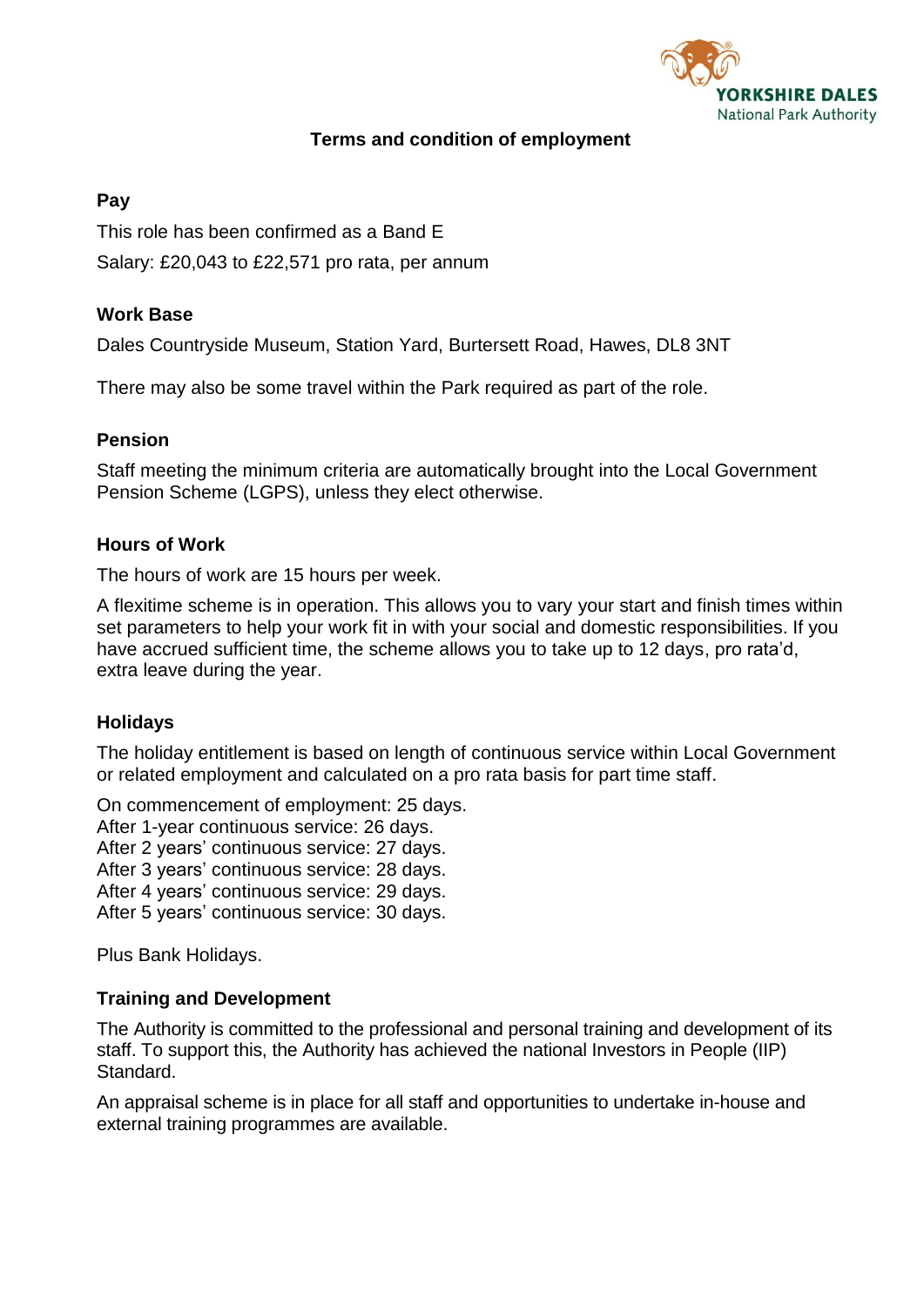

# **Terms and condition of employment**

### **Pay**

This role has been confirmed as a Band E Salary: £20,043 to £22,571 pro rata, per annum

# **Work Base**

Dales Countryside Museum, Station Yard, Burtersett Road, Hawes, DL8 3NT

There may also be some travel within the Park required as part of the role.

### **Pension**

Staff meeting the minimum criteria are automatically brought into the Local Government Pension Scheme (LGPS), unless they elect otherwise.

#### **Hours of Work**

The hours of work are 15 hours per week.

A flexitime scheme is in operation. This allows you to vary your start and finish times within set parameters to help your work fit in with your social and domestic responsibilities. If you have accrued sufficient time, the scheme allows you to take up to 12 days, pro rata'd, extra leave during the year.

# **Holidays**

The holiday entitlement is based on length of continuous service within Local Government or related employment and calculated on a pro rata basis for part time staff.

On commencement of employment: 25 days.

After 1-year continuous service: 26 days.

After 2 years' continuous service: 27 days.

After 3 years' continuous service: 28 days.

After 4 years' continuous service: 29 days.

After 5 years' continuous service: 30 days.

Plus Bank Holidays.

#### **Training and Development**

The Authority is committed to the professional and personal training and development of its staff. To support this, the Authority has achieved the national Investors in People (IIP) Standard.

An appraisal scheme is in place for all staff and opportunities to undertake in-house and external training programmes are available.